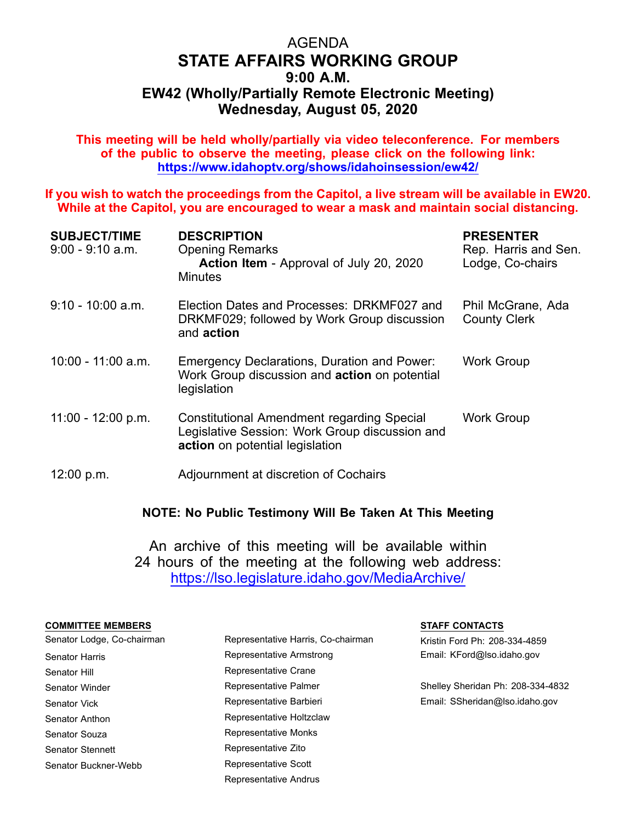## AGENDA **STATE AFFAIRS WORKING GROUP 9:00 A.M. EW42 (Wholly/Partially Remote Electronic Meeting) Wednesday, August 05, 2020**

**This meeting will be held wholly/partially via video teleconference. For members of the public to observe the meeting, please click on the following link: https://www.idahoptv.org/shows/idahoinsession/ew42/**

**If you wish to watch the proceedings from the Capitol, <sup>a</sup> live stream will be available in EW20. While at the Capitol, you are encouraged to wear <sup>a</sup> mask and maintain social distancing.**

| <b>SUBJECT/TIME</b><br>9:00 - 9:10 a.m. | <b>DESCRIPTION</b><br><b>Opening Remarks</b><br>Action Item - Approval of July 20, 2020<br><b>Minutes</b>                       | <b>PRESENTER</b><br>Rep. Harris and Sen.<br>Lodge, Co-chairs |
|-----------------------------------------|---------------------------------------------------------------------------------------------------------------------------------|--------------------------------------------------------------|
| 9:10 - 10:00 a.m.                       | Election Dates and Processes: DRKMF027 and<br>DRKMF029; followed by Work Group discussion<br>and action                         | Phil McGrane, Ada<br><b>County Clerk</b>                     |
| 10:00 - 11:00 a.m.                      | Emergency Declarations, Duration and Power:<br>Work Group discussion and <b>action</b> on potential<br>legislation              | <b>Work Group</b>                                            |
| 11:00 - 12:00 p.m.                      | Constitutional Amendment regarding Special<br>Legislative Session: Work Group discussion and<br>action on potential legislation | Work Group                                                   |
| 12:00 p.m.                              | Adjournment at discretion of Cochairs                                                                                           |                                                              |

**NOTE: No Public Testimony Will Be Taken At This Meeting**

An archive of this meeting will be available within 24 hours of the meeting at the following web address: https://lso.legislature.idaho.gov/MediaArchive/

## **COMMITTEE MEMBERS STAFF CONTACTS**

| Senator Lodge, Co-chairman | Representative Harris, Co-chairman |  |
|----------------------------|------------------------------------|--|
| Senator Harris             | Representative Armstrong           |  |
| Senator Hill               | Representative Crane               |  |
| Senator Winder             | Representative Palmer              |  |
| Senator Vick               | Representative Barbieri            |  |
| Senator Anthon             | Representative Holtzclaw           |  |
| Senator Souza              | Representative Monks               |  |
| Senator Stennett           | Representative Zito                |  |
| Senator Buckner-Webb       | Representative Scott               |  |

Representative Andrus

Kristin Ford Ph: 208-334-4859 Email: KFord@lso.idaho.gov

Shelley Sheridan Ph: 208-334-4832 Email: SSheridan@lso.idaho.gov